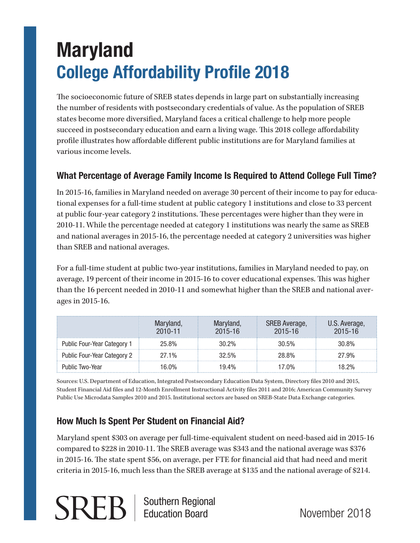# **Maryland College Affordability Profile 2018**

The socioeconomic future of SREB states depends in large part on substantially increasing the number of residents with postsecondary credentials of value. As the population of SREB states become more diversified, Maryland faces a critical challenge to help more people succeed in postsecondary education and earn a living wage. This 2018 college affordability profile illustrates how affordable different public institutions are for Maryland families at various income levels.

### **What Percentage of Average Family Income Is Required to Attend College Full Time?**

In 2015-16, families in Maryland needed on average 30 percent of their income to pay for educational expenses for a full-time student at public category 1 institutions and close to 33 percent at public four-year category 2 institutions. These percentages were higher than they were in 2010-11. While the percentage needed at category 1 institutions was nearly the same as SREB and national averages in 2015-16, the percentage needed at category 2 universities was higher than SREB and national averages.

For a full-time student at public two-year institutions, families in Maryland needed to pay, on average, 19 percent of their income in 2015-16 to cover educational expenses. This was higher than the 16 percent needed in 2010-11 and somewhat higher than the SREB and national averages in 2015-16.

|                             | 2010-11    | 2015-16 | SREB Average,<br>2015-16 | J.S. Average,<br>2015-16 |
|-----------------------------|------------|---------|--------------------------|--------------------------|
| Public Four-Year Category   | 25.8%      | 3በ 2%   | 30.5%                    | 30.8%                    |
| Public Four-Year Category 2 | 27.1%      | 32.5%   | 28.8%                    | 27.9%                    |
| Public Two-Year             | <u> በ%</u> | 194%    | በ‰                       | 8.2%                     |

Sources: U.S. Department of Education, Integrated Postsecondary Education Data System, Directory files 2010 and 2015, Student Financial Aid files and 12-Month Enrollment Instructional Activity files 2011 and 2016; American Community Survey Public Use Microdata Samples 2010 and 2015. Institutional sectors are based on SREB-State Data Exchange categories.

### **How Much Is Spent Per Student on Financial Aid?**

Southern Regional Education Board

Maryland spent \$303 on average per full-time-equivalent student on need-based aid in 2015-16 compared to \$228 in 2010-11. The SREB average was \$343 and the national average was \$376 in 2015-16. The state spent \$56, on average, per FTE for financial aid that had need and merit criteria in 2015-16, much less than the SREB average at \$135 and the national average of \$214.

November 2018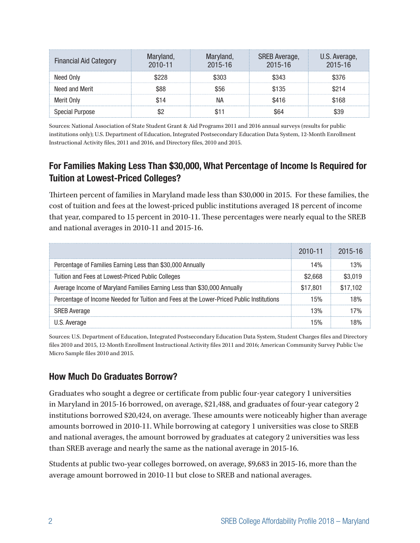| <b>Financial Aid Category</b> | $2010 - 11$ | ryiand,<br>2015-16 | <b>SREB Average,</b><br>$2015 - 16$ | J.S. Average.<br>$2015 - 16$ |
|-------------------------------|-------------|--------------------|-------------------------------------|------------------------------|
| Need Only                     |             |                    | ፍ343                                | 5376                         |
| Need and Merit                |             | 856                | \$135                               |                              |
| Merit Only                    |             |                    | S416                                | 168                          |
| oecial Purpose                |             |                    |                                     |                              |

Sources: National Association of State Student Grant & Aid Programs 2011 and 2016 annual surveys (results for public institutions only); U.S. Department of Education, Integrated Postsecondary Education Data System, 12-Month Enrollment Instructional Activity files, 2011 and 2016, and Directory files, 2010 and 2015.

### **For Families Making Less Than \$30,000, What Percentage of Income Is Required for Tuition at Lowest-Priced Colleges?**

Thirteen percent of families in Maryland made less than \$30,000 in 2015. For these families, the cost of tuition and fees at the lowest-priced public institutions averaged 18 percent of income that year, compared to 15 percent in 2010-11. These percentages were nearly equal to the SREB and national averages in 2010-11 and 2015-16.

|                                                                                          | 2010-11 2015-16 |  |
|------------------------------------------------------------------------------------------|-----------------|--|
| Percentage of Families Earning Less than \$30,000 Annually                               |                 |  |
| Tuition and Fees at Lowest-Priced Public Colleges                                        |                 |  |
| Average Income of Maryland Families Earning Less than \$30,000 Annually                  | 7 801           |  |
| Percentage of Income Needed for Tuition and Fees at the Lower-Priced Public Institutions |                 |  |
| <b>SREB Average</b>                                                                      |                 |  |
|                                                                                          |                 |  |

Sources: U.S. Department of Education, Integrated Postsecondary Education Data System, Student Charges files and Directory files 2010 and 2015, 12-Month Enrollment Instructional Activity files 2011 and 2016; American Community Survey Public Use Micro Sample files 2010 and 2015.

### **How Much Do Graduates Borrow?**

Graduates who sought a degree or certificate from public four-year category 1 universities in Maryland in 2015-16 borrowed, on average, \$21,488, and graduates of four-year category 2 institutions borrowed \$20,424, on average. These amounts were noticeably higher than average amounts borrowed in 2010-11. While borrowing at category 1 universities was close to SREB and national averages, the amount borrowed by graduates at category 2 universities was less than SREB average and nearly the same as the national average in 2015-16.

Students at public two-year colleges borrowed, on average, \$9,683 in 2015-16, more than the average amount borrowed in 2010-11 but close to SREB and national averages.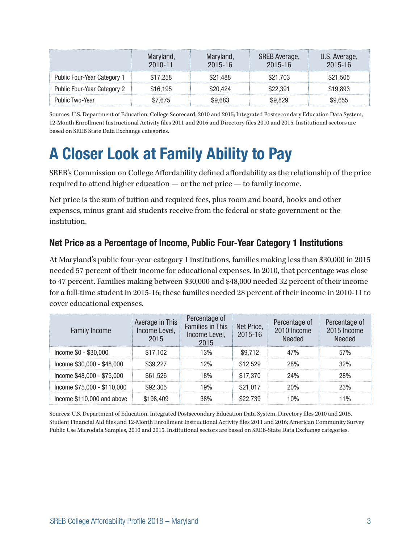|                             | laryland<br>2010-11 | Maryland,<br>$2015 - 16$ | SREB Average,<br>$2015 - 16$ | J.S. Average,<br>$2015 - 16$ |
|-----------------------------|---------------------|--------------------------|------------------------------|------------------------------|
| Public Four-Year Category 1 | \$17.258            | \$21.488                 | \$21.703                     | \$21.505                     |
| Public Four-Year Category 2 | \$16.195            | 20.424                   | 2.391                        | 19.893                       |
| Public Two-Year             | 7 675               | ፍዓ 683                   |                              | 9 655.                       |

Sources: U.S. Department of Education, College Scorecard, 2010 and 2015; Integrated Postsecondary Education Data System, 12-Month Enrollment Instructional Activity files 2011 and 2016 and Directory files 2010 and 2015. Institutional sectors are based on SREB State Data Exchange categories.

## **A Closer Look at Family Ability to Pay**

SREB's Commission on College Affordability defined affordability as the relationship of the price required to attend higher education — or the net price — to family income.

Net price is the sum of tuition and required fees, plus room and board, books and other expenses, minus grant aid students receive from the federal or state government or the institution.

### **Net Price as a Percentage of Income, Public Four-Year Category 1 Institutions**

At Maryland's public four-year category 1 institutions, families making less than \$30,000 in 2015 needed 57 percent of their income for educational expenses. In 2010, that percentage was close to 47 percent. Families making between \$30,000 and \$48,000 needed 32 percent of their income for a full-time student in 2015-16; these families needed 28 percent of their income in 2010-11 to cover educational expenses.

| <b>Family Income</b>        | Average in This<br>Income Level.<br>2015 | Percentage of<br><b>Families in This</b><br>Income Level,<br>2015 | Net Price,<br>2015-16 | Percentage of<br>2010 Income<br>heheall | Percentage of<br>2015 Income<br>Needed |
|-----------------------------|------------------------------------------|-------------------------------------------------------------------|-----------------------|-----------------------------------------|----------------------------------------|
| Income \$0 - \$30,000       | \$17.102                                 | 3%،                                                               | \$9.712               | 47%                                     | 57%                                    |
| Income \$30,000 - \$48,000  | \$39.227                                 | 2%                                                                | \$12.529              | 28%                                     | 32%                                    |
| Income \$48,000 - \$75,000  | \$61.526                                 | 8%                                                                | \$17.370              | 24%                                     | 28%                                    |
| Income \$75,000 - \$110,000 | \$92.305                                 | 19%                                                               | \$21.017              | 20%                                     | 23%                                    |
| Income \$110,000 and above  |                                          |                                                                   |                       |                                         | $\frac{0}{n}$                          |

Sources: U.S. Department of Education, Integrated Postsecondary Education Data System, Directory files 2010 and 2015, Student Financial Aid files and 12-Month Enrollment Instructional Activity files 2011 and 2016; American Community Survey Public Use Microdata Samples, 2010 and 2015. Institutional sectors are based on SREB-State Data Exchange categories.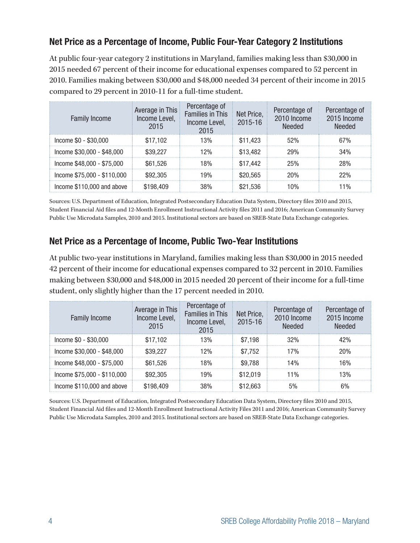### **Net Price as a Percentage of Income, Public Four-Year Category 2 Institutions**

At public four-year category 2 institutions in Maryland, families making less than \$30,000 in 2015 needed 67 percent of their income for educational expenses compared to 52 percent in 2010. Families making between \$30,000 and \$48,000 needed 34 percent of their income in 2015 compared to 29 percent in 2010-11 for a full-time student.

| <b>Family Income</b>        | Average in This<br>Income Level,<br>2015 | Percentage of<br><b>Families in This</b><br>Income Level,<br>2015 | Net Price,<br>2015-16 | Percentage of<br>2010 Income<br><b>Needed</b> | Percentage of<br>2015 Income<br><b>Needed</b> |
|-----------------------------|------------------------------------------|-------------------------------------------------------------------|-----------------------|-----------------------------------------------|-----------------------------------------------|
| Income \$0 - \$30,000       | \$17.102                                 | 13%                                                               | \$11.423              | 52%                                           | 67%                                           |
| Income \$30,000 - \$48,000  | \$39,227                                 | 12%                                                               | \$13,482              | 29%                                           | 34%                                           |
| Income \$48,000 - \$75,000  | \$61.526                                 | 18%                                                               | \$17,442              | 25%                                           | 28%                                           |
| Income \$75,000 - \$110,000 | \$92,305                                 | 19%                                                               | \$20,565              | 20%                                           | 22%                                           |
| Income \$110,000 and above  | \$198,409                                | 38%                                                               | \$21.536              | $\Omega$ <sup>o</sup>                         | 1%                                            |

Sources: U.S. Department of Education, Integrated Postsecondary Education Data System, Directory files 2010 and 2015, Student Financial Aid files and 12-Month Enrollment Instructional Activity files 2011 and 2016; American Community Survey Public Use Microdata Samples, 2010 and 2015. Institutional sectors are based on SREB-State Data Exchange categories.

### **Net Price as a Percentage of Income, Public Two-Year Institutions**

At public two-year institutions in Maryland, families making less than \$30,000 in 2015 needed 42 percent of their income for educational expenses compared to 32 percent in 2010. Families making between \$30,000 and \$48,000 in 2015 needed 20 percent of their income for a full-time student, only slightly higher than the 17 percent needed in 2010.

| <b>Family Income</b>        | Average in This<br>Income Level,<br>2015 | Percentage of<br><b>Families in This</b><br>Income Level,<br>2015 | Net Price,<br>2015-16 | Percentage of<br>2010 Income<br>Needed | Percentage of<br>2015 Income<br>Needed |
|-----------------------------|------------------------------------------|-------------------------------------------------------------------|-----------------------|----------------------------------------|----------------------------------------|
| Income \$0 - \$30,000       | \$17.102                                 | 13%                                                               | \$7.198               | 32%                                    | 42%                                    |
| Income \$30,000 - \$48,000  | \$39,227                                 | 12%                                                               | \$7.752               | 17%                                    | 20%                                    |
| Income \$48,000 - \$75,000  | \$61.526                                 | 8%                                                                | \$9.788               | 14%                                    | 6%                                     |
| Income \$75,000 - \$110,000 | \$92.305                                 | 9%                                                                | \$12.019              | $1\%$                                  | 3%                                     |
| Income \$110,000 and above  |                                          |                                                                   |                       |                                        |                                        |

Sources: U.S. Department of Education, Integrated Postsecondary Education Data System, Directory files 2010 and 2015, Student Financial Aid files and 12-Month Enrollment Instructional Activity Files 2011 and 2016; American Community Survey Public Use Microdata Samples, 2010 and 2015. Institutional sectors are based on SREB-State Data Exchange categories.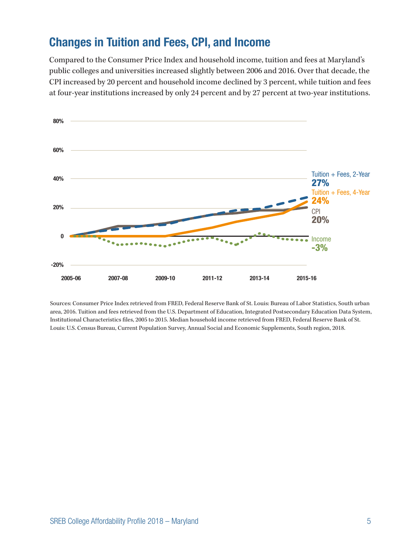### **Changes in Tuition and Fees, CPI, and Income**

Compared to the Consumer Price Index and household income, tuition and fees at Maryland's public colleges and universities increased slightly between 2006 and 2016. Over that decade, the CPI increased by 20 percent and household income declined by 3 percent, while tuition and fees at four-year institutions increased by only 24 percent and by 27 percent at two-year institutions.



Sources: Consumer Price Index retrieved from FRED, Federal Reserve Bank of St. Louis: Bureau of Labor Statistics, South urban area, 2016. Tuition and fees retrieved from the U.S. Department of Education, Integrated Postsecondary Education Data System, Institutional Characteristics files, 2005 to 2015. Median household income retrieved from FRED, Federal Reserve Bank of St. Louis: U.S. Census Bureau, Current Population Survey, Annual Social and Economic Supplements, South region, 2018.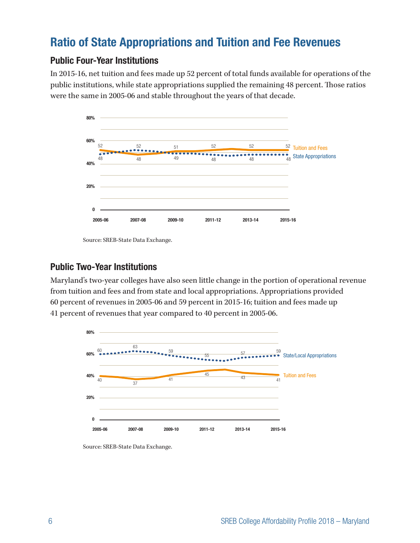### **Ratio of State Appropriations and Tuition and Fee Revenues**

### **Public Four-Year Institutions**

In 2015-16, net tuition and fees made up 52 percent of total funds available for operations of the public institutions, while state appropriations supplied the remaining 48 percent. Those ratios were the same in 2005-06 and stable throughout the years of that decade.



Source: SREB-State Data Exchange.

### **Public Two-Year Institutions**

Maryland's two-year colleges have also seen little change in the portion of operational revenue from tuition and fees and from state and local appropriations. Appropriations provided 60 percent of revenues in 2005-06 and 59 percent in 2015-16; tuition and fees made up 41 percent of revenues that year compared to 40 percent in 2005-06.



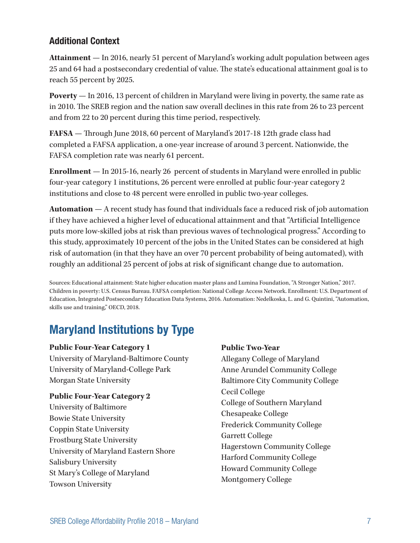### **Additional Context**

**Attainment** — In 2016, nearly 51 percent of Maryland's working adult population between ages 25 and 64 had a postsecondary credential of value. The state's educational attainment goal is to reach 55 percent by 2025.

**Poverty** — In 2016, 13 percent of children in Maryland were living in poverty, the same rate as in 2010. The SREB region and the nation saw overall declines in this rate from 26 to 23 percent and from 22 to 20 percent during this time period, respectively.

**FAFSA** — Through June 2018, 60 percent of Maryland's 2017-18 12th grade class had completed a FAFSA application, a one-year increase of around 3 percent. Nationwide, the FAFSA completion rate was nearly 61 percent.

**Enrollment** — In 2015-16, nearly 26 percent of students in Maryland were enrolled in public four-year category 1 institutions, 26 percent were enrolled at public four-year category 2 institutions and close to 48 percent were enrolled in public two-year colleges.

**Automation** — A recent study has found that individuals face a reduced risk of job automation if they have achieved a higher level of educational attainment and that "Artificial Intelligence puts more low-skilled jobs at risk than previous waves of technological progress." According to this study, approximately 10 percent of the jobs in the United States can be considered at high risk of automation (in that they have an over 70 percent probability of being automated), with roughly an additional 25 percent of jobs at risk of significant change due to automation.

Sources: Educational attainment: State higher education master plans and Lumina Foundation, "A Stronger Nation," 2017. Children in poverty: U.S. Census Bureau. FAFSA completion: National College Access Network. Enrollment: U.S. Department of Education, Integrated Postsecondary Education Data Systems, 2016. Automation: Nedelkoska, L. and G. Quintini, "Automation, skills use and training," OECD, 2018.

### **Maryland Institutions by Type**

#### **Public Four-Year Category 1**

University of Maryland-Baltimore County University of Maryland-College Park Morgan State University

### **Public Four-Year Category 2**

University of Baltimore Bowie State University Coppin State University Frostburg State University University of Maryland Eastern Shore Salisbury University St Mary's College of Maryland Towson University

#### **Public Two-Year**

Allegany College of Maryland Anne Arundel Community College Baltimore City Community College Cecil College College of Southern Maryland Chesapeake College Frederick Community College Garrett College Hagerstown Community College Harford Community College Howard Community College Montgomery College